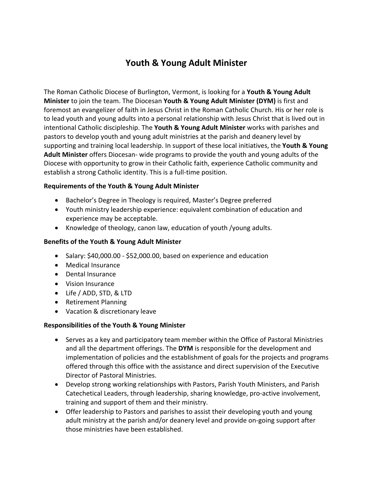## **Youth & Young Adult Minister**

The Roman Catholic Diocese of Burlington, Vermont, is looking for a **Youth & Young Adult Minister** to join the team. The Diocesan **Youth & Young Adult Minister (DYM)** is first and foremost an evangelizer of faith in Jesus Christ in the Roman Catholic Church. His or her role is to lead youth and young adults into a personal relationship with Jesus Christ that is lived out in intentional Catholic discipleship. The **Youth & Young Adult Minister** works with parishes and pastors to develop youth and young adult ministries at the parish and deanery level by supporting and training local leadership. In support of these local initiatives, the **Youth & Young Adult Minister** offers Diocesan- wide programs to provide the youth and young adults of the Diocese with opportunity to grow in their Catholic faith, experience Catholic community and establish a strong Catholic identity. This is a full-time position.

## **Requirements of the Youth & Young Adult Minister**

- Bachelor's Degree in Theology is required, Master's Degree preferred
- Youth ministry leadership experience: equivalent combination of education and experience may be acceptable.
- Knowledge of theology, canon law, education of youth /young adults.

## **Benefits of the Youth & Young Adult Minister**

- Salary: \$40,000.00 \$52,000.00, based on experience and education
- Medical Insurance
- Dental Insurance
- Vision Insurance
- Life / ADD, STD, & LTD
- Retirement Planning
- Vacation & discretionary leave

## **Responsibilities of the Youth & Young Minister**

- Serves as a key and participatory team member within the Office of Pastoral Ministries and all the department offerings. The **DYM** is responsible for the development and implementation of policies and the establishment of goals for the projects and programs offered through this office with the assistance and direct supervision of the Executive Director of Pastoral Ministries.
- Develop strong working relationships with Pastors, Parish Youth Ministers, and Parish Catechetical Leaders, through leadership, sharing knowledge, pro-active involvement, training and support of them and their ministry.
- Offer leadership to Pastors and parishes to assist their developing youth and young adult ministry at the parish and/or deanery level and provide on-going support after those ministries have been established.